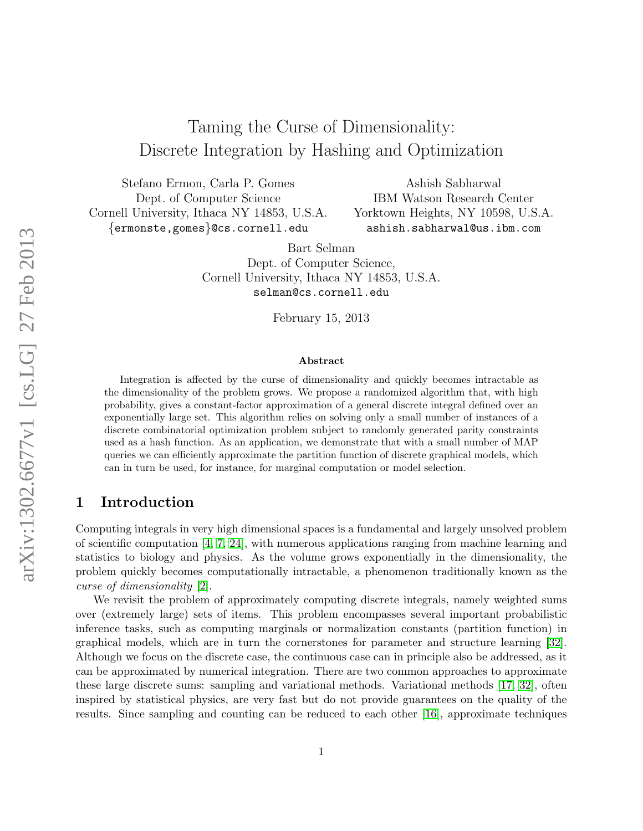# Taming the Curse of Dimensionality: Discrete Integration by Hashing and Optimization

Stefano Ermon, Carla P. Gomes Dept. of Computer Science Cornell University, Ithaca NY 14853, U.S.A. {ermonste,gomes}@cs.cornell.edu

Ashish Sabharwal IBM Watson Research Center Yorktown Heights, NY 10598, U.S.A. ashish.sabharwal@us.ibm.com

Bart Selman Dept. of Computer Science, Cornell University, Ithaca NY 14853, U.S.A. selman@cs.cornell.edu

February 15, 2013

#### Abstract

Integration is affected by the curse of dimensionality and quickly becomes intractable as the dimensionality of the problem grows. We propose a randomized algorithm that, with high probability, gives a constant-factor approximation of a general discrete integral defined over an exponentially large set. This algorithm relies on solving only a small number of instances of a discrete combinatorial optimization problem subject to randomly generated parity constraints used as a hash function. As an application, we demonstrate that with a small number of MAP queries we can efficiently approximate the partition function of discrete graphical models, which can in turn be used, for instance, for marginal computation or model selection.

### 1 Introduction

Computing integrals in very high dimensional spaces is a fundamental and largely unsolved problem of scientific computation  $[4, 7, 24]$  $[4, 7, 24]$  $[4, 7, 24]$ , with numerous applications ranging from machine learning and statistics to biology and physics. As the volume grows exponentially in the dimensionality, the problem quickly becomes computationally intractable, a phenomenon traditionally known as the curse of dimensionality [\[2\]](#page-13-2).

We revisit the problem of approximately computing discrete integrals, namely weighted sums over (extremely large) sets of items. This problem encompasses several important probabilistic inference tasks, such as computing marginals or normalization constants (partition function) in graphical models, which are in turn the cornerstones for parameter and structure learning [\[32\]](#page-14-1). Although we focus on the discrete case, the continuous case can in principle also be addressed, as it can be approximated by numerical integration. There are two common approaches to approximate these large discrete sums: sampling and variational methods. Variational methods [\[17,](#page-13-3) [32\]](#page-14-1), often inspired by statistical physics, are very fast but do not provide guarantees on the quality of the results. Since sampling and counting can be reduced to each other [\[16\]](#page-13-4), approximate techniques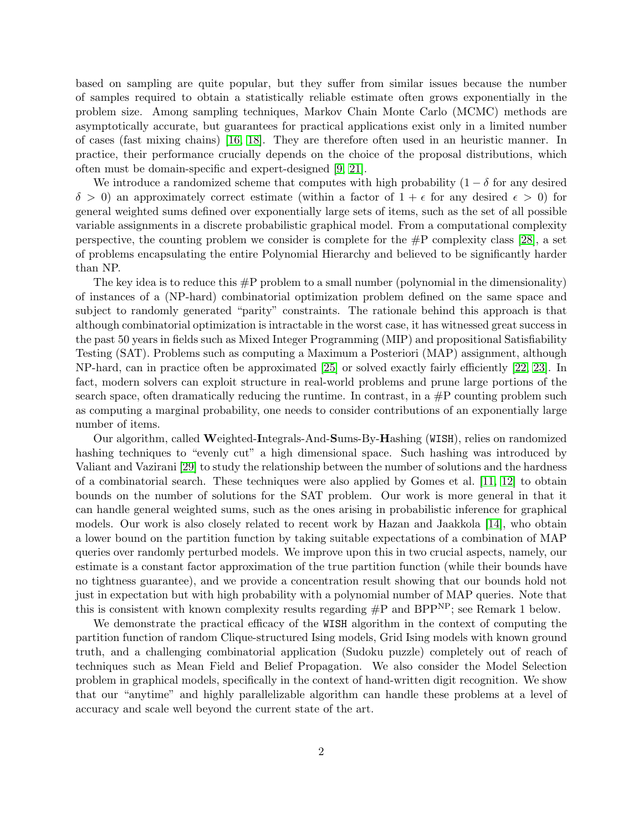based on sampling are quite popular, but they suffer from similar issues because the number of samples required to obtain a statistically reliable estimate often grows exponentially in the problem size. Among sampling techniques, Markov Chain Monte Carlo (MCMC) methods are asymptotically accurate, but guarantees for practical applications exist only in a limited number of cases (fast mixing chains) [\[16,](#page-13-4) [18\]](#page-13-5). They are therefore often used in an heuristic manner. In practice, their performance crucially depends on the choice of the proposal distributions, which often must be domain-specific and expert-designed [\[9,](#page-13-6) [21\]](#page-13-7).

We introduce a randomized scheme that computes with high probability  $(1 - \delta$  for any desired  $\delta > 0$ ) an approximately correct estimate (within a factor of  $1 + \epsilon$  for any desired  $\epsilon > 0$ ) for general weighted sums defined over exponentially large sets of items, such as the set of all possible variable assignments in a discrete probabilistic graphical model. From a computational complexity perspective, the counting problem we consider is complete for the  $\#P$  complexity class [\[28\]](#page-14-2), a set of problems encapsulating the entire Polynomial Hierarchy and believed to be significantly harder than NP.

The key idea is to reduce this #P problem to a small number (polynomial in the dimensionality) of instances of a (NP-hard) combinatorial optimization problem defined on the same space and subject to randomly generated "parity" constraints. The rationale behind this approach is that although combinatorial optimization is intractable in the worst case, it has witnessed great success in the past 50 years in fields such as Mixed Integer Programming (MIP) and propositional Satisfiability Testing (SAT). Problems such as computing a Maximum a Posteriori (MAP) assignment, although NP-hard, can in practice often be approximated [\[25\]](#page-14-3) or solved exactly fairly efficiently [\[22,](#page-14-4) [23\]](#page-14-5). In fact, modern solvers can exploit structure in real-world problems and prune large portions of the search space, often dramatically reducing the runtime. In contrast, in a  $\#P$  counting problem such as computing a marginal probability, one needs to consider contributions of an exponentially large number of items.

Our algorithm, called Weighted-Integrals-And-Sums-By-Hashing (WISH), relies on randomized hashing techniques to "evenly cut" a high dimensional space. Such hashing was introduced by Valiant and Vazirani [\[29\]](#page-14-6) to study the relationship between the number of solutions and the hardness of a combinatorial search. These techniques were also applied by Gomes et al. [\[11,](#page-13-8) [12\]](#page-13-9) to obtain bounds on the number of solutions for the SAT problem. Our work is more general in that it can handle general weighted sums, such as the ones arising in probabilistic inference for graphical models. Our work is also closely related to recent work by Hazan and Jaakkola [\[14\]](#page-13-10), who obtain a lower bound on the partition function by taking suitable expectations of a combination of MAP queries over randomly perturbed models. We improve upon this in two crucial aspects, namely, our estimate is a constant factor approximation of the true partition function (while their bounds have no tightness guarantee), and we provide a concentration result showing that our bounds hold not just in expectation but with high probability with a polynomial number of MAP queries. Note that this is consistent with known complexity results regarding  $\#P$  and  $BPP^{NP}$ ; see Remark 1 below.

We demonstrate the practical efficacy of the WISH algorithm in the context of computing the partition function of random Clique-structured Ising models, Grid Ising models with known ground truth, and a challenging combinatorial application (Sudoku puzzle) completely out of reach of techniques such as Mean Field and Belief Propagation. We also consider the Model Selection problem in graphical models, specifically in the context of hand-written digit recognition. We show that our "anytime" and highly parallelizable algorithm can handle these problems at a level of accuracy and scale well beyond the current state of the art.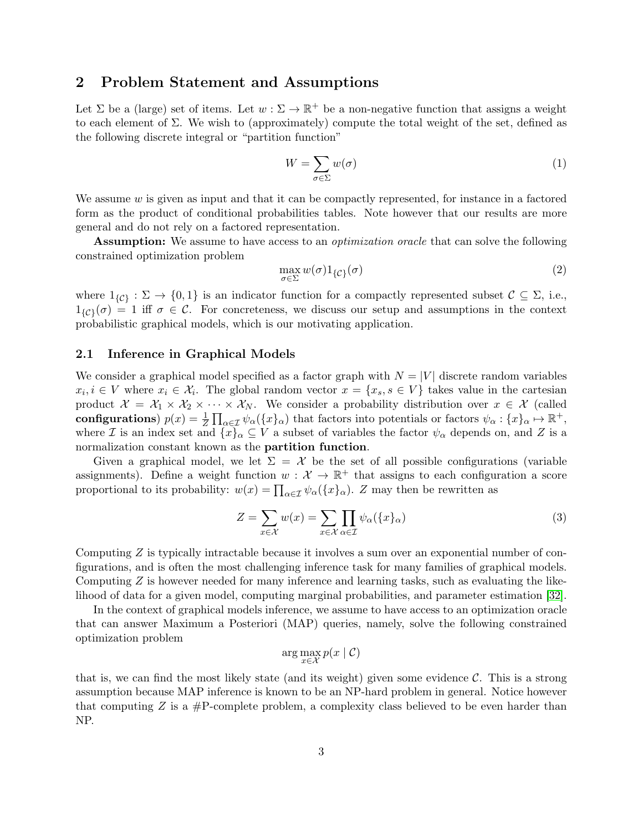### 2 Problem Statement and Assumptions

Let  $\Sigma$  be a (large) set of items. Let  $w : \Sigma \to \mathbb{R}^+$  be a non-negative function that assigns a weight to each element of Σ. We wish to (approximately) compute the total weight of the set, defined as the following discrete integral or "partition function"

<span id="page-2-0"></span>
$$
W = \sum_{\sigma \in \Sigma} w(\sigma) \tag{1}
$$

We assume  $w$  is given as input and that it can be compactly represented, for instance in a factored form as the product of conditional probabilities tables. Note however that our results are more general and do not rely on a factored representation.

Assumption: We assume to have access to an *optimization oracle* that can solve the following constrained optimization problem

$$
\max_{\sigma \in \Sigma} w(\sigma) 1_{\{\mathcal{C}\}}(\sigma) \tag{2}
$$

where  $1_{\{\mathcal{C}\}} : \Sigma \to \{0,1\}$  is an indicator function for a compactly represented subset  $\mathcal{C} \subseteq \Sigma$ , i.e.,  $1_{\{\mathcal{C}\}}(\sigma) = 1$  iff  $\sigma \in \mathcal{C}$ . For concreteness, we discuss our setup and assumptions in the context probabilistic graphical models, which is our motivating application.

#### 2.1 Inference in Graphical Models

We consider a graphical model specified as a factor graph with  $N = |V|$  discrete random variables  $x_i, i \in V$  where  $x_i \in \mathcal{X}_i$ . The global random vector  $x = \{x_s, s \in V\}$  takes value in the cartesian product  $\mathcal{X} = \mathcal{X}_1 \times \mathcal{X}_2 \times \cdots \times \mathcal{X}_N$ . We consider a probability distribution over  $x \in \mathcal{X}$  (called configurations)  $p(x) = \frac{1}{Z} \prod_{\alpha \in \mathcal{I}} \psi_{\alpha}(\{x\}_{\alpha})$  that factors into potentials or factors  $\psi_{\alpha} : \{x\}_{\alpha} \mapsto \mathbb{R}^{+}$ , where I is an index set and  $\{x\}_\alpha \subseteq V$  a subset of variables the factor  $\psi_\alpha$  depends on, and I is a normalization constant known as the partition function.

Given a graphical model, we let  $\Sigma = \mathcal{X}$  be the set of all possible configurations (variable assignments). Define a weight function  $w: \mathcal{X} \to \mathbb{R}^+$  that assigns to each configuration a score proportional to its probability:  $w(x) = \prod_{\alpha \in \mathcal{I}} \psi_{\alpha}(\{x\}_{\alpha})$ . Z may then be rewritten as

<span id="page-2-1"></span>
$$
Z = \sum_{x \in \mathcal{X}} w(x) = \sum_{x \in \mathcal{X}} \prod_{\alpha \in \mathcal{I}} \psi_{\alpha}(\{x\}_{\alpha})
$$
(3)

Computing  $Z$  is typically intractable because it involves a sum over an exponential number of configurations, and is often the most challenging inference task for many families of graphical models. Computing  $Z$  is however needed for many inference and learning tasks, such as evaluating the likelihood of data for a given model, computing marginal probabilities, and parameter estimation [\[32\]](#page-14-1).

In the context of graphical models inference, we assume to have access to an optimization oracle that can answer Maximum a Posteriori (MAP) queries, namely, solve the following constrained optimization problem

$$
\arg\max_{x \in \mathcal{X}} p(x \mid \mathcal{C})
$$

that is, we can find the most likely state (and its weight) given some evidence  $\mathcal{C}$ . This is a strong assumption because MAP inference is known to be an NP-hard problem in general. Notice however that computing Z is a  $\#P$ -complete problem, a complexity class believed to be even harder than NP.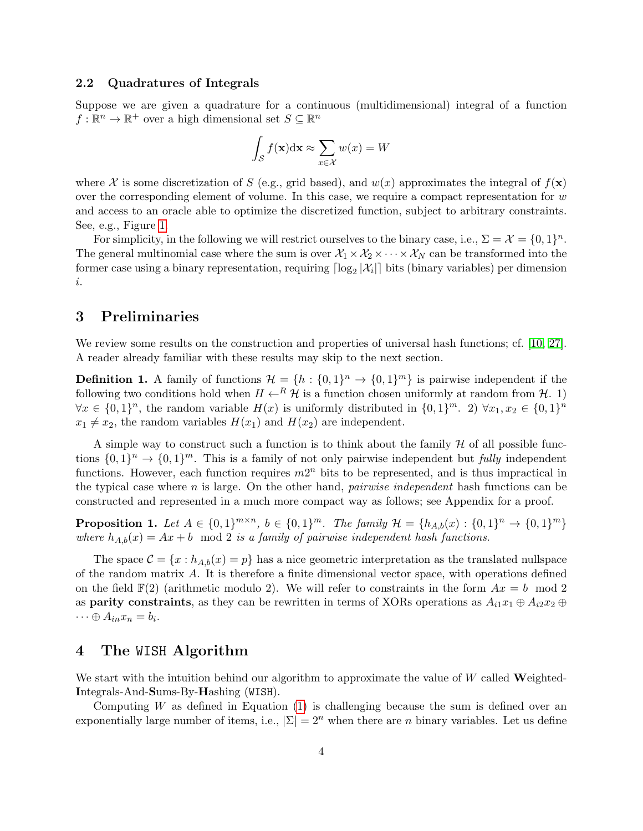#### 2.2 Quadratures of Integrals

Suppose we are given a quadrature for a continuous (multidimensional) integral of a function  $f: \mathbb{R}^n \to \mathbb{R}^+$  over a high dimensional set  $S \subseteq \mathbb{R}^n$ 

$$
\int_{\mathcal{S}} f(\mathbf{x}) \mathrm{d}\mathbf{x} \approx \sum_{x \in \mathcal{X}} w(x) = W
$$

where X is some discretization of S (e.g., grid based), and  $w(x)$  approximates the integral of  $f(x)$ over the corresponding element of volume. In this case, we require a compact representation for  $w$ and access to an oracle able to optimize the discretized function, subject to arbitrary constraints. See, e.g., Figure [1.](#page-4-0)

For simplicity, in the following we will restrict ourselves to the binary case, i.e.,  $\Sigma = \mathcal{X} = \{0, 1\}^n$ . The general multinomial case where the sum is over  $X_1 \times X_2 \times \cdots \times X_N$  can be transformed into the former case using a binary representation, requiring  $\lceil \log_2 |\mathcal{X}_i| \rceil$  bits (binary variables) per dimension i.

### 3 Preliminaries

We review some results on the construction and properties of universal hash functions; cf. [\[10,](#page-13-11) [27\]](#page-14-7). A reader already familiar with these results may skip to the next section.

<span id="page-3-1"></span>**Definition 1.** A family of functions  $\mathcal{H} = \{h : \{0,1\}^n \to \{0,1\}^m\}$  is pairwise independent if the following two conditions hold when  $H \leftarrow^R \mathcal{H}$  is a function chosen uniformly at random from  $\mathcal{H}$ . 1)  $\forall x \in \{0,1\}^n$ , the random variable  $H(x)$  is uniformly distributed in  $\{0,1\}^m$ . 2)  $\forall x_1, x_2 \in \{0,1\}^n$  $x_1 \neq x_2$ , the random variables  $H(x_1)$  and  $H(x_2)$  are independent.

A simple way to construct such a function is to think about the family  $H$  of all possible functions  $\{0,1\}^n \to \{0,1\}^m$ . This is a family of not only pairwise independent but *fully* independent functions. However, each function requires  $m2^n$  bits to be represented, and is thus impractical in the typical case where n is large. On the other hand, *pairwise independent* hash functions can be constructed and represented in a much more compact way as follows; see Appendix for a proof.

<span id="page-3-0"></span>**Proposition 1.** Let  $A \in \{0,1\}^{m \times n}$ ,  $b \in \{0,1\}^m$ . The family  $\mathcal{H} = \{h_{A,b}(x) : \{0,1\}^n \to \{0,1\}^m\}$ where  $h_{A,b}(x) = Ax + b \mod 2$  is a family of pairwise independent hash functions.

The space  $\mathcal{C} = \{x : h_{A,b}(x) = p\}$  has a nice geometric interpretation as the translated nullspace of the random matrix  $A$ . It is therefore a finite dimensional vector space, with operations defined on the field  $F(2)$  (arithmetic modulo 2). We will refer to constraints in the form  $Ax = b \mod 2$ as **parity constraints**, as they can be rewritten in terms of XORs operations as  $A_{i1}x_1 \oplus A_{i2}x_2 \oplus A_{i3}x_3$  $\cdots \oplus A_{in}x_n = b_i.$ 

### 4 The WISH Algorithm

We start with the intuition behind our algorithm to approximate the value of  $W$  called Weighted-Integrals-And-Sums-By-Hashing (WISH).

Computing  $W$  as defined in Equation [\(1\)](#page-2-0) is challenging because the sum is defined over an exponentially large number of items, i.e.,  $|\Sigma| = 2^n$  when there are n binary variables. Let us define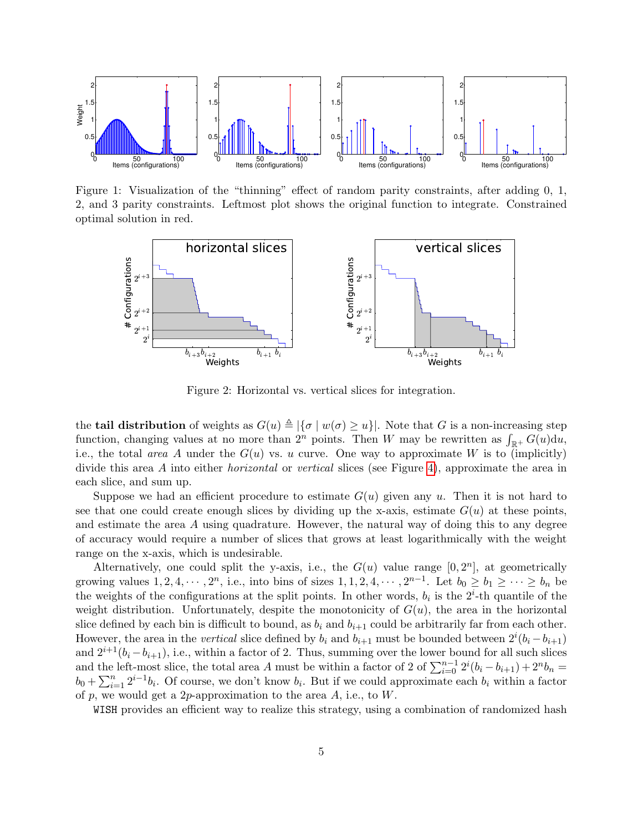

Figure 1: Visualization of the "thinning" effect of random parity constraints, after adding 0, 1, 2, and 3 parity constraints. Leftmost plot shows the original function to integrate. Constrained optimal solution in red.

<span id="page-4-0"></span>

Figure 2: Horizontal vs. vertical slices for integration.

the **tail distribution** of weights as  $G(u) \triangleq |\{\sigma | w(\sigma) \geq u\}|$ . Note that G is a non-increasing step function, changing values at no more than  $2^n$  points. Then W may be rewritten as  $\int_{\mathbb{R}^+} G(u) \mathrm{d}u$ , i.e., the total area A under the  $G(u)$  vs. u curve. One way to approximate W is to (implicitly) divide this area A into either *horizontal* or vertical slices (see Figure [4\)](#page-4-0), approximate the area in each slice, and sum up.

Suppose we had an efficient procedure to estimate  $G(u)$  given any u. Then it is not hard to see that one could create enough slices by dividing up the x-axis, estimate  $G(u)$  at these points, and estimate the area A using quadrature. However, the natural way of doing this to any degree of accuracy would require a number of slices that grows at least logarithmically with the weight range on the x-axis, which is undesirable.

Alternatively, one could split the y-axis, i.e., the  $G(u)$  value range  $[0, 2<sup>n</sup>]$ , at geometrically growing values  $1, 2, 4, \cdots, 2^n$ , i.e., into bins of sizes  $1, 1, 2, 4, \cdots, 2^{n-1}$ . Let  $b_0 \ge b_1 \ge \cdots \ge b_n$  be the weights of the configurations at the split points. In other words,  $b_i$  is the  $2^i$ -th quantile of the weight distribution. Unfortunately, despite the monotonicity of  $G(u)$ , the area in the horizontal slice defined by each bin is difficult to bound, as  $b_i$  and  $b_{i+1}$  could be arbitrarily far from each other. However, the area in the *vertical* slice defined by  $b_i$  and  $b_{i+1}$  must be bounded between  $2^i(b_i - b_{i+1})$ and  $2^{i+1}(b_i - b_{i+1}),$  i.e., within a factor of 2. Thus, summing over the lower bound for all such slices and the left-most slice, the total area A must be within a factor of 2 of  $\sum_{i=0}^{n-1} 2^i (b_i - b_{i+1}) + 2^n b_n =$  $b_0 + \sum_{i=1}^n 2^{i-1}b_i$ . Of course, we don't know  $b_i$ . But if we could approximate each  $b_i$  within a factor of p, we would get a 2p-approximation to the area  $A$ , i.e., to  $W$ .

WISH provides an efficient way to realize this strategy, using a combination of randomized hash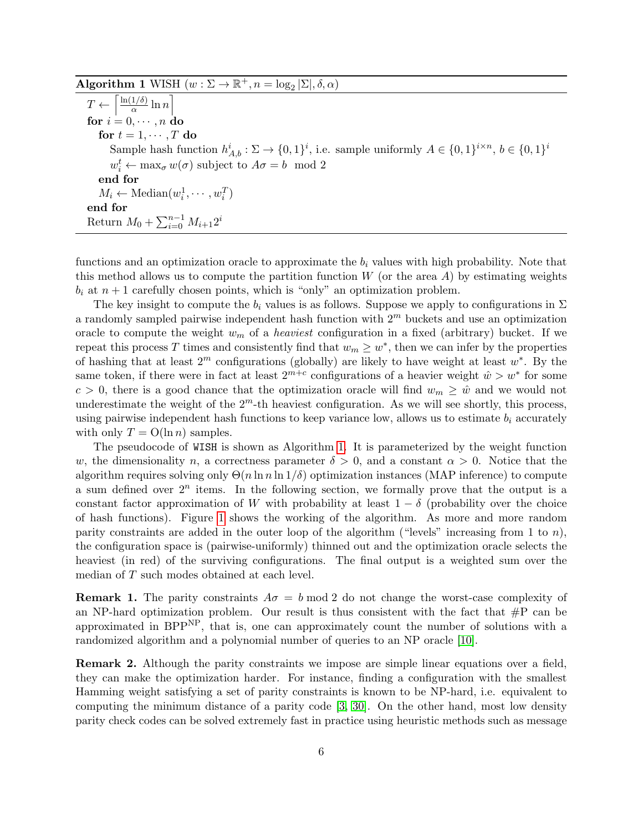## <span id="page-5-0"></span>Algorithm 1 WISH  $(w : \Sigma \to \mathbb{R}^+, n = \log_2 |\Sigma|, \delta, \alpha)$

 $T \leftarrow \left\lceil \frac{\ln(1/\delta)}{\alpha} \right\rceil$  $rac{1/\delta)}{\alpha} \ln n$ for  $i = 0, \cdots, n$  do for  $t = 1, \cdots, T$  do Sample hash function  $h_{A,b}^i : \Sigma \to \{0,1\}^i$ , i.e. sample uniformly  $A \in \{0,1\}^{i \times n}$ ,  $b \in \{0,1\}^i$  $w_i^t \leftarrow \max_{\sigma} w(\sigma)$  subject to  $A\sigma = b \mod 2$ end for  $M_i \leftarrow \text{Median}(w_i^1, \cdots, w_i^T)$ end for Return  $M_0 + \sum_{i=0}^{n-1} M_{i+1} 2^i$ 

functions and an optimization oracle to approximate the  $b_i$  values with high probability. Note that this method allows us to compute the partition function  $W$  (or the area  $A$ ) by estimating weights  $b_i$  at  $n+1$  carefully chosen points, which is "only" an optimization problem.

The key insight to compute the  $b_i$  values is as follows. Suppose we apply to configurations in  $\Sigma$ a randomly sampled pairwise independent hash function with  $2<sup>m</sup>$  buckets and use an optimization oracle to compute the weight  $w_m$  of a *heaviest* configuration in a fixed (arbitrary) bucket. If we repeat this process T times and consistently find that  $w_m \geq w^*$ , then we can infer by the properties of hashing that at least  $2^m$  configurations (globally) are likely to have weight at least  $w^*$ . By the same token, if there were in fact at least  $2^{m+c}$  configurations of a heavier weight  $\hat{w} > w^*$  for some  $c > 0$ , there is a good chance that the optimization oracle will find  $w_m \geq \hat{w}$  and we would not underestimate the weight of the  $2<sup>m</sup>$ -th heaviest configuration. As we will see shortly, this process, using pairwise independent hash functions to keep variance low, allows us to estimate  $b_i$  accurately with only  $T = O(\ln n)$  samples.

The pseudocode of WISH is shown as Algorithm [1.](#page-5-0) It is parameterized by the weight function w, the dimensionality n, a correctness parameter  $\delta > 0$ , and a constant  $\alpha > 0$ . Notice that the algorithm requires solving only  $\Theta(n \ln n \ln 1/\delta)$  optimization instances (MAP inference) to compute a sum defined over  $2^n$  items. In the following section, we formally prove that the output is a constant factor approximation of W with probability at least  $1 - \delta$  (probability over the choice of hash functions). Figure [1](#page-4-0) shows the working of the algorithm. As more and more random parity constraints are added in the outer loop of the algorithm ("levels" increasing from 1 to  $n$ ), the configuration space is (pairwise-uniformly) thinned out and the optimization oracle selects the heaviest (in red) of the surviving configurations. The final output is a weighted sum over the median of T such modes obtained at each level.

**Remark 1.** The parity constraints  $A\sigma = b \mod 2$  do not change the worst-case complexity of an NP-hard optimization problem. Our result is thus consistent with the fact that  $\#P$  can be approximated in  $BPP<sup>NP</sup>$ , that is, one can approximately count the number of solutions with a randomized algorithm and a polynomial number of queries to an NP oracle [\[10\]](#page-13-11).

Remark 2. Although the parity constraints we impose are simple linear equations over a field, they can make the optimization harder. For instance, finding a configuration with the smallest Hamming weight satisfying a set of parity constraints is known to be NP-hard, i.e. equivalent to computing the minimum distance of a parity code [\[3,](#page-13-12) [30\]](#page-14-8). On the other hand, most low density parity check codes can be solved extremely fast in practice using heuristic methods such as message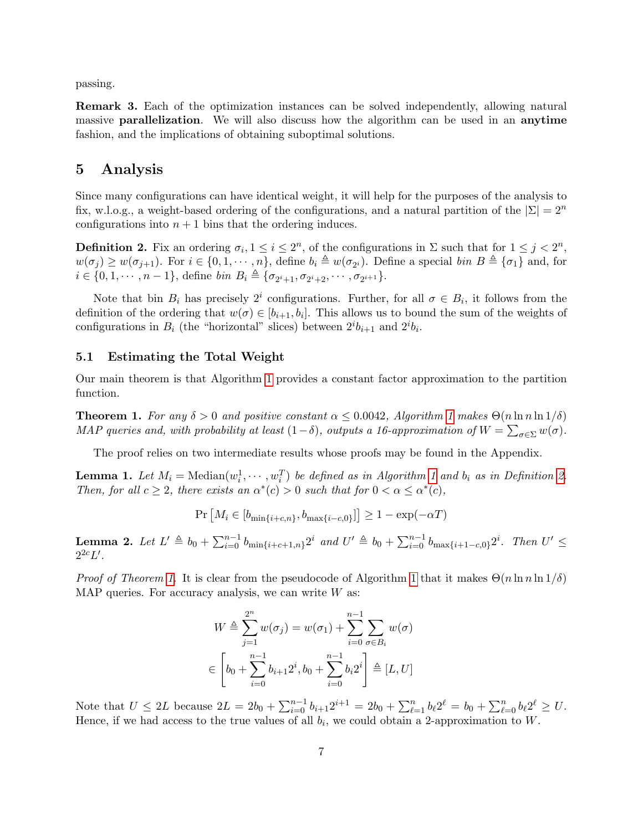passing.

Remark 3. Each of the optimization instances can be solved independently, allowing natural massive parallelization. We will also discuss how the algorithm can be used in an anytime fashion, and the implications of obtaining suboptimal solutions.

### 5 Analysis

Since many configurations can have identical weight, it will help for the purposes of the analysis to fix, w.l.o.g., a weight-based ordering of the configurations, and a natural partition of the  $|\Sigma| = 2^n$ configurations into  $n + 1$  bins that the ordering induces.

<span id="page-6-0"></span>**Definition 2.** Fix an ordering  $\sigma_i, 1 \leq i \leq 2^n$ , of the configurations in  $\Sigma$  such that for  $1 \leq j < 2^n$ ,  $w(\sigma_j) \geq w(\sigma_{j+1})$ . For  $i \in \{0, 1, \cdots, n\}$ , define  $b_i \triangleq w(\sigma_{2^i})$ . Define a special  $\text{bin } B \triangleq \{\sigma_1\}$  and, for  $i \in \{0, 1, \dots, n-1\},\$ define bin  $B_i \triangleq {\sigma_{2^i+1}, \sigma_{2^i+2}, \dots, \sigma_{2^{i+1}}\}.$ 

Note that bin  $B_i$  has precisely  $2^i$  configurations. Further, for all  $\sigma \in B_i$ , it follows from the definition of the ordering that  $w(\sigma) \in [b_{i+1}, b_i]$ . This allows us to bound the sum of the weights of configurations in  $B_i$  (the "horizontal" slices) between  $2^i b_{i+1}$  and  $2^i b_i$ .

#### <span id="page-6-4"></span>5.1 Estimating the Total Weight

Our main theorem is that Algorithm [1](#page-5-0) provides a constant factor approximation to the partition function.

<span id="page-6-1"></span>**Theorem [1](#page-5-0).** For any  $\delta > 0$  and positive constant  $\alpha \leq 0.0042$ , Algorithm 1 makes  $\Theta(n \ln n \ln 1/\delta)$ MAP queries and, with probability at least  $(1-\delta)$ , outputs a 16-approximation of  $W = \sum_{\sigma \in \Sigma} w(\sigma)$ .

The proof relies on two intermediate results whose proofs may be found in the Appendix.

<span id="page-6-2"></span>**Lemma [1](#page-5-0).** Let  $M_i = \text{Median}(w_i^1, \dots, w_i^T)$  be defined as in Algorithm 1 and  $b_i$  as in Definition [2.](#page-6-0) Then, for all  $c \geq 2$ , there exists an  $\alpha^*(c) > 0$  such that for  $0 < \alpha \leq \alpha^*(c)$ ,

$$
\Pr\left[M_i \in [b_{\min\{i+c,n\}}, b_{\max\{i-c,0\}}]\right] \ge 1 - \exp(-\alpha T)
$$

<span id="page-6-3"></span>**Lemma 2.** Let  $L' \triangleq b_0 + \sum_{i=0}^{n-1} b_{\min\{i+c+1,n\}} 2^i$  and  $U' \triangleq b_0 + \sum_{i=0}^{n-1} b_{\max\{i+1-c,0\}} 2^i$ . Then  $U' \leq$  $2^{2c}L'$ .

*Proof of Theorem [1.](#page-6-1)* It is clear from the pseudocode of Algorithm [1](#page-5-0) that it makes  $\Theta(n \ln n \ln 1/\delta)$ MAP queries. For accuracy analysis, we can write  $W$  as:

$$
W \triangleq \sum_{j=1}^{2^n} w(\sigma_j) = w(\sigma_1) + \sum_{i=0}^{n-1} \sum_{\sigma \in B_i} w(\sigma)
$$
  

$$
\in \left[ b_0 + \sum_{i=0}^{n-1} b_{i+1} 2^i, b_0 + \sum_{i=0}^{n-1} b_i 2^i \right] \triangleq [L, U]
$$

Note that  $U \leq 2L$  because  $2L = 2b_0 + \sum_{i=0}^{n-1} b_{i+1} 2^{i+1} = 2b_0 + \sum_{\ell=1}^{n} b_{\ell} 2^{\ell} = b_0 + \sum_{\ell=0}^{n} b_{\ell} 2^{\ell} \geq U$ . Hence, if we had access to the true values of all  $b_i$ , we could obtain a 2-approximation to W.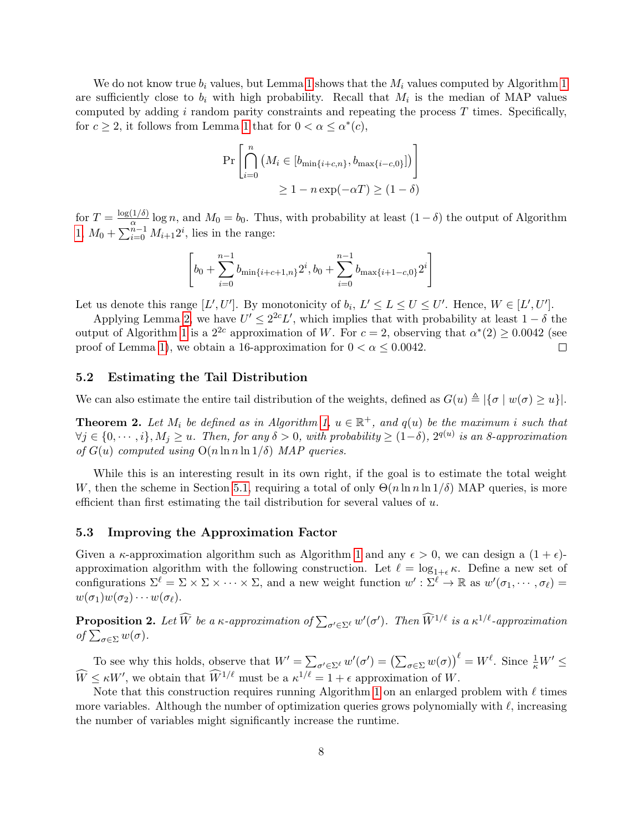We do not know true  $b_i$  values, but Lemma [1](#page-5-0) shows that the  $M_i$  values computed by Algorithm 1 are sufficiently close to  $b_i$  with high probability. Recall that  $M_i$  is the median of MAP values computed by adding  $i$  random parity constraints and repeating the process  $T$  times. Specifically, for  $c \geq 2$ , it follows from Lemma [1](#page-6-2) that for  $0 < \alpha \leq \alpha^*(c)$ ,

$$
\Pr\left[\bigcap_{i=0}^{n} \left(M_i \in [b_{\min\{i+c,n\}}, b_{\max\{i-c,0\}}]\right)\right]
$$
  

$$
\geq 1 - n \exp(-\alpha T) \geq (1 - \delta)
$$

for  $T = \frac{\log(1/\delta)}{\alpha}$  $\frac{\ln(n)}{\alpha}$  log n, and  $M_0 = b_0$ . Thus, with probability at least  $(1 - \delta)$  the output of Algorithm [1,](#page-5-0)  $M_0 + \sum_{i=0}^{n-1} M_{i+1} 2^i$ , lies in the range:

$$
\[b_0 + \sum_{i=0}^{n-1} b_{\min\{i+c+1,n\}} 2^i, b_0 + \sum_{i=0}^{n-1} b_{\max\{i+1-c,0\}} 2^i\]
$$

Let us denote this range  $[L', U']$ . By monotonicity of  $b_i, L' \le L \le U \le U'$ . Hence,  $W \in [L', U']$ .

Applying Lemma [2,](#page-6-3) we have  $U' \leq 2^{2c} L'$ , which implies that with probability at least  $1 - \delta$  the output of Algorithm [1](#page-5-0) is a  $2^{2c}$  approximation of W. For  $c = 2$ , observing that  $\alpha^*(2) \ge 0.0042$  (see proof of Lemma [1\)](#page-6-2), we obtain a 16-approximation for  $0 < \alpha < 0.0042$ .  $\Box$ 

#### 5.2 Estimating the Tail Distribution

We can also estimate the entire tail distribution of the weights, defined as  $G(u) \triangleq |\{\sigma | w(\sigma) \ge u\}|$ .

<span id="page-7-0"></span>**Theorem 2.** Let  $M_i$  be defined as in Algorithm [1,](#page-5-0)  $u \in \mathbb{R}^+$ , and  $q(u)$  be the maximum i such that  $\forall j \in \{0,\dots,i\}, M_j \geq u$ . Then, for any  $\delta > 0$ , with probability  $\geq (1-\delta)$ ,  $2^{q(u)}$  is an 8-approximation of  $G(u)$  computed using  $O(n \ln n \ln 1/\delta)$  MAP queries.

While this is an interesting result in its own right, if the goal is to estimate the total weight W, then the scheme in Section [5.1,](#page-6-4) requiring a total of only  $\Theta(n \ln n \ln 1/\delta)$  MAP queries, is more efficient than first estimating the tail distribution for several values of  $u$ .

#### 5.3 Improving the Approximation Factor

Given a  $\kappa$ -approximation algorithm such as Algorithm [1](#page-5-0) and any  $\epsilon > 0$ , we can design a  $(1 + \epsilon)$ approximation algorithm with the following construction. Let  $\ell = \log_{1+\epsilon} \kappa$ . Define a new set of configurations  $\Sigma^{\ell} = \Sigma \times \Sigma \times \cdots \times \Sigma$ , and a new weight function  $w' : \Sigma^{\ell} \to \mathbb{R}$  as  $w'(\sigma_1, \cdots, \sigma_{\ell}) =$  $w(\sigma_1)w(\sigma_2)\cdots w(\sigma_\ell).$ 

**Proposition 2.** Let  $\widehat{W}$  be a  $\kappa$ -approximation of  $\sum_{\sigma' \in \Sigma^{\ell}} w'(\sigma')$ . Then  $\widehat{W}^{1/\ell}$  is a  $\kappa^{1/\ell}$ -approximation of  $\sum_{\sigma\in\Sigma}w(\sigma)$ .

To see why this holds, observe that  $W' = \sum_{\sigma' \in \Sigma^{\ell}} w'(\sigma') = (\sum_{\sigma \in \Sigma} w(\sigma))^{\ell} = W^{\ell}$ . Since  $\frac{1}{\kappa} W' \leq$  $\widehat{W} \leq \kappa W'$ , we obtain that  $\widehat{W}^{1/\ell}$  must be a  $\kappa^{1/\ell} = 1 + \epsilon$  approximation of W.

Note that this construction requires running Algorithm [1](#page-5-0) on an enlarged problem with  $\ell$  times more variables. Although the number of optimization queries grows polynomially with  $\ell$ , increasing the number of variables might significantly increase the runtime.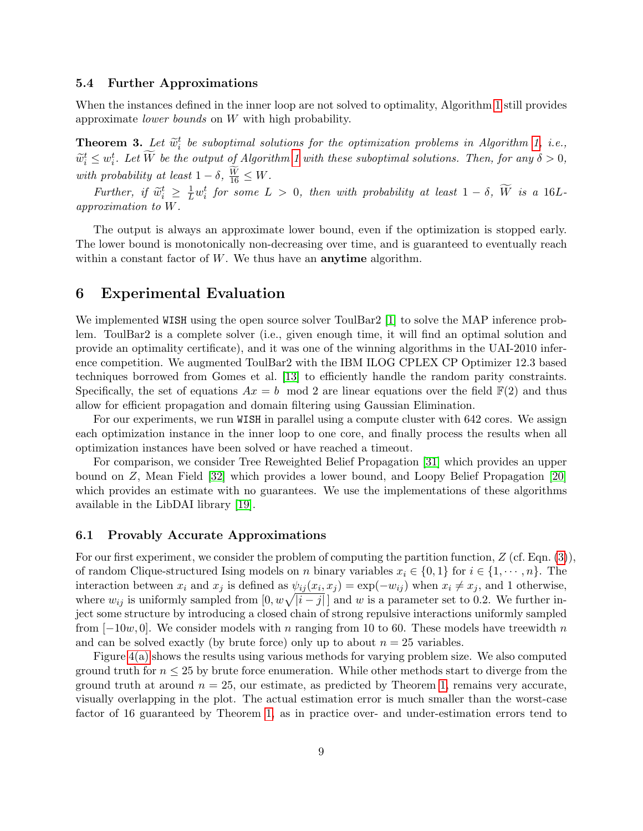#### 5.4 Further Approximations

When the instances defined in the inner loop are not solved to optimality, Algorithm [1](#page-5-0) still provides approximate lower bounds on W with high probability.

<span id="page-8-0"></span>**Theorem 3.** Let  $\widetilde{w}_i^t$  be suboptimal solutions for the optimization problems in Algorithm [1,](#page-5-0) i.e.,  $\widetilde{w}_i^t \leq w_i^t$ . Let  $\widetilde{W}$  be the output of Algorithm [1](#page-5-0) with these suboptimal solutions. Then, for any  $\delta > 0$ , with probability at least  $1 - \delta$ ,  $\frac{W}{16} \leq W$ .

Further, if  $\widetilde{w}_i^t \geq \frac{1}{L} w_i^t$  for some  $L > 0$ , then with probability at least  $1 - \delta$ ,  $\widetilde{W}$  is a 16L-<br>measuration to  $W$ . approximation to W.

The output is always an approximate lower bound, even if the optimization is stopped early. The lower bound is monotonically non-decreasing over time, and is guaranteed to eventually reach within a constant factor of  $W$ . We thus have an **anytime** algorithm.

### 6 Experimental Evaluation

We implemented WISH using the open source solver ToulBar2 [\[1\]](#page-12-0) to solve the MAP inference problem. ToulBar2 is a complete solver (i.e., given enough time, it will find an optimal solution and provide an optimality certificate), and it was one of the winning algorithms in the UAI-2010 inference competition. We augmented ToulBar2 with the IBM ILOG CPLEX CP Optimizer 12.3 based techniques borrowed from Gomes et al. [\[13\]](#page-13-13) to efficiently handle the random parity constraints. Specifically, the set of equations  $Ax = b \mod 2$  are linear equations over the field  $\mathbb{F}(2)$  and thus allow for efficient propagation and domain filtering using Gaussian Elimination.

For our experiments, we run WISH in parallel using a compute cluster with 642 cores. We assign each optimization instance in the inner loop to one core, and finally process the results when all optimization instances have been solved or have reached a timeout.

For comparison, we consider Tree Reweighted Belief Propagation [\[31\]](#page-14-9) which provides an upper bound on Z, Mean Field [\[32\]](#page-14-1) which provides a lower bound, and Loopy Belief Propagation [\[20\]](#page-13-14) which provides an estimate with no guarantees. We use the implementations of these algorithms available in the LibDAI library [\[19\]](#page-13-15).

#### 6.1 Provably Accurate Approximations

For our first experiment, we consider the problem of computing the partition function,  $Z$  (cf. Eqn. [\(3\)](#page-2-1)), of random Clique-structured Ising models on n binary variables  $x_i \in \{0,1\}$  for  $i \in \{1,\dots,n\}$ . The interaction between  $x_i$  and  $x_j$  is defined as  $\psi_{ij}(x_i, x_j) = \exp(-w_{ij})$  when  $x_i \neq x_j$ , and 1 otherwise, where  $w_{ij}$  is uniformly sampled from  $[0, w\sqrt{|i-j|}]$  and w is a parameter set to 0.2. We further inject some structure by introducing a closed chain of strong repulsive interactions uniformly sampled from  $[-10w, 0]$ . We consider models with n ranging from 10 to 60. These models have treewidth n and can be solved exactly (by brute force) only up to about  $n = 25$  variables.

Figure [4\(a\)](#page-11-0) shows the results using various methods for varying problem size. We also computed ground truth for  $n \leq 25$  by brute force enumeration. While other methods start to diverge from the ground truth at around  $n = 25$ , our estimate, as predicted by Theorem [1,](#page-6-1) remains very accurate, visually overlapping in the plot. The actual estimation error is much smaller than the worst-case factor of 16 guaranteed by Theorem [1,](#page-6-1) as in practice over- and under-estimation errors tend to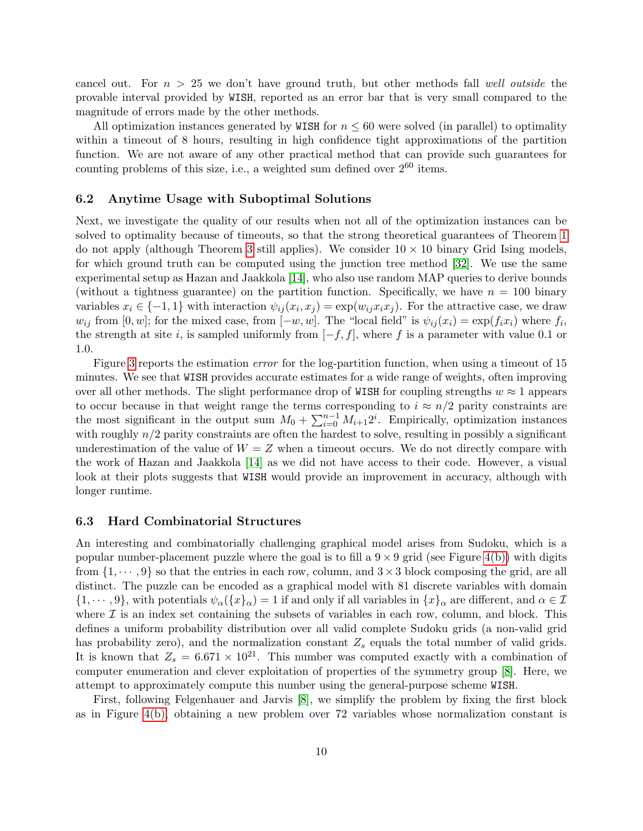cancel out. For  $n > 25$  we don't have ground truth, but other methods fall well outside the provable interval provided by WISH, reported as an error bar that is very small compared to the magnitude of errors made by the other methods.

All optimization instances generated by WISH for  $n \leq 60$  were solved (in parallel) to optimality within a timeout of 8 hours, resulting in high confidence tight approximations of the partition function. We are not aware of any other practical method that can provide such guarantees for counting problems of this size, i.e., a weighted sum defined over  $2^{60}$  items.

#### 6.2 Anytime Usage with Suboptimal Solutions

Next, we investigate the quality of our results when not all of the optimization instances can be solved to optimality because of timeouts, so that the strong theoretical guarantees of Theorem [1](#page-6-1) do not apply (although Theorem [3](#page-8-0) still applies). We consider  $10 \times 10$  binary Grid Ising models, for which ground truth can be computed using the junction tree method [\[32\]](#page-14-1). We use the same experimental setup as Hazan and Jaakkola [\[14\]](#page-13-10), who also use random MAP queries to derive bounds (without a tightness guarantee) on the partition function. Specifically, we have  $n = 100$  binary variables  $x_i \in \{-1,1\}$  with interaction  $\psi_{ij}(x_i, x_j) = \exp(w_{ij} x_i x_j)$ . For the attractive case, we draw  $w_{ij}$  from [0, w]; for the mixed case, from  $[-w, w]$ . The "local field" is  $\psi_{ij}(x_i) = \exp(f_i x_i)$  where  $f_i$ , the strength at site i, is sampled uniformly from  $[-f, f]$ , where f is a parameter with value 0.1 or 1.0.

Figure [3](#page-10-0) reports the estimation error for the log-partition function, when using a timeout of 15 minutes. We see that WISH provides accurate estimates for a wide range of weights, often improving over all other methods. The slight performance drop of WISH for coupling strengths  $w \approx 1$  appears to occur because in that weight range the terms corresponding to  $i \approx n/2$  parity constraints are the most significant in the output sum  $M_0 + \sum_{i=0}^{n-1} M_{i+1} 2^i$ . Empirically, optimization instances with roughly  $n/2$  parity constraints are often the hardest to solve, resulting in possibly a significant underestimation of the value of  $W = Z$  when a timeout occurs. We do not directly compare with the work of Hazan and Jaakkola [\[14\]](#page-13-10) as we did not have access to their code. However, a visual look at their plots suggests that WISH would provide an improvement in accuracy, although with longer runtime.

#### 6.3 Hard Combinatorial Structures

An interesting and combinatorially challenging graphical model arises from Sudoku, which is a popular number-placement puzzle where the goal is to fill a  $9 \times 9$  grid (see Figure [4\(b\)\)](#page-11-1) with digits from  $\{1, \dots, 9\}$  so that the entries in each row, column, and  $3 \times 3$  block composing the grid, are all distinct. The puzzle can be encoded as a graphical model with 81 discrete variables with domain  $\{1,\dots,9\}$ , with potentials  $\psi_\alpha(\{x\}_\alpha)=1$  if and only if all variables in  $\{x\}_\alpha$  are different, and  $\alpha\in\mathcal{I}$ where  $\mathcal I$  is an index set containing the subsets of variables in each row, column, and block. This defines a uniform probability distribution over all valid complete Sudoku grids (a non-valid grid has probability zero), and the normalization constant  $Z_s$  equals the total number of valid grids. It is known that  $Z_s = 6.671 \times 10^{21}$ . This number was computed exactly with a combination of computer enumeration and clever exploitation of properties of the symmetry group [\[8\]](#page-13-16). Here, we attempt to approximately compute this number using the general-purpose scheme WISH.

First, following Felgenhauer and Jarvis [\[8\]](#page-13-16), we simplify the problem by fixing the first block as in Figure [4\(b\),](#page-11-1) obtaining a new problem over 72 variables whose normalization constant is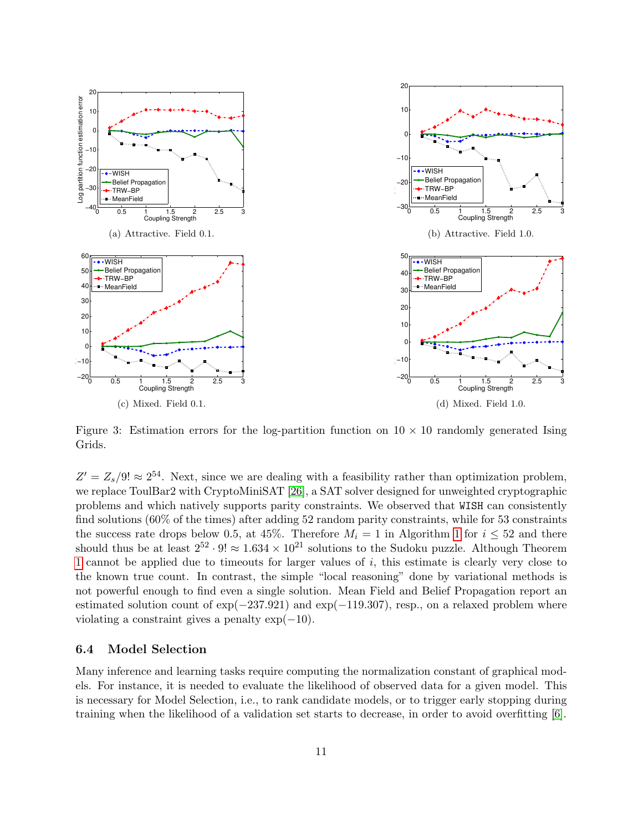

<span id="page-10-0"></span>Figure 3: Estimation errors for the log-partition function on  $10 \times 10$  randomly generated Ising Grids.

 $Z' = Z_s/9! \approx 2^{54}$ . Next, since we are dealing with a feasibility rather than optimization problem, we replace ToulBar2 with CryptoMiniSAT [\[26\]](#page-14-10), a SAT solver designed for unweighted cryptographic problems and which natively supports parity constraints. We observed that WISH can consistently find solutions (60% of the times) after adding 52 random parity constraints, while for 53 constraints the success rate drops below 0.5, at 45%. Therefore  $M_i = 1$  $M_i = 1$  in Algorithm 1 for  $i \leq 52$  and there should thus be at least  $2^{52} \cdot 9! \approx 1.634 \times 10^{21}$  solutions to the Sudoku puzzle. Although Theorem [1](#page-6-1) cannot be applied due to timeouts for larger values of i, this estimate is clearly very close to the known true count. In contrast, the simple "local reasoning" done by variational methods is not powerful enough to find even a single solution. Mean Field and Belief Propagation report an estimated solution count of exp(−237.921) and exp(−119.307), resp., on a relaxed problem where violating a constraint gives a penalty  $\exp(-10)$ .

#### 6.4 Model Selection

Many inference and learning tasks require computing the normalization constant of graphical models. For instance, it is needed to evaluate the likelihood of observed data for a given model. This is necessary for Model Selection, i.e., to rank candidate models, or to trigger early stopping during training when the likelihood of a validation set starts to decrease, in order to avoid overfitting [\[6\]](#page-13-17).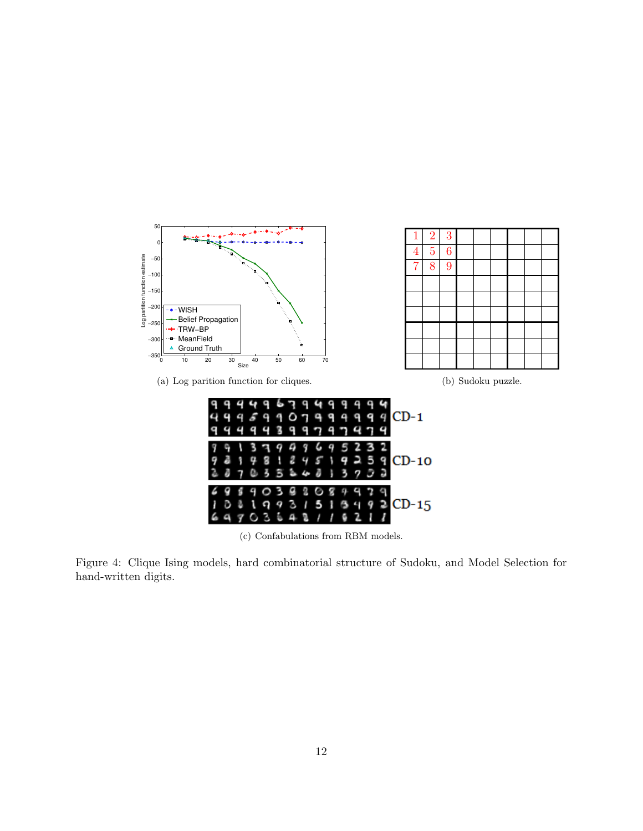<span id="page-11-0"></span>

<span id="page-11-2"></span><span id="page-11-1"></span>(c) Confabulations from RBM models.

Figure 4: Clique Ising models, hard combinatorial structure of Sudoku, and Model Selection for hand-written digits.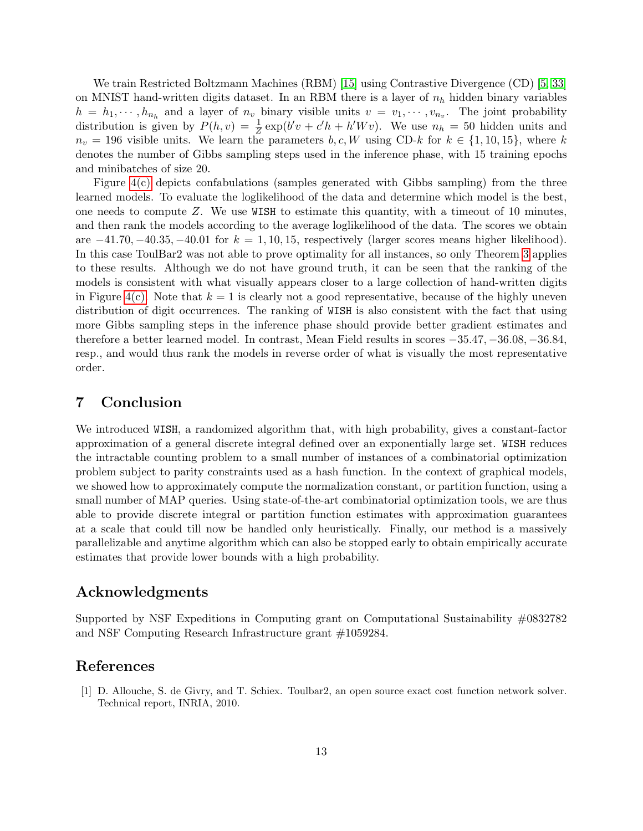We train Restricted Boltzmann Machines (RBM) [\[15\]](#page-13-18) using Contrastive Divergence (CD) [\[5,](#page-13-19) [33\]](#page-14-11) on MNIST hand-written digits dataset. In an RBM there is a layer of  $n_h$  hidden binary variables  $h = h_1, \dots, h_{n_h}$  and a layer of  $n_v$  binary visible units  $v = v_1, \dots, v_{n_v}$ . The joint probability distribution is given by  $P(h, v) = \frac{1}{Z} \exp(b'v + c'h + h'Wv)$ . We use  $n_h = 50$  hidden units and  $n_v = 196$  visible units. We learn the parameters  $b, c, W$  using CD-k for  $k \in \{1, 10, 15\}$ , where k denotes the number of Gibbs sampling steps used in the inference phase, with 15 training epochs and minibatches of size 20.

Figure [4\(c\)](#page-11-2) depicts confabulations (samples generated with Gibbs sampling) from the three learned models. To evaluate the loglikelihood of the data and determine which model is the best, one needs to compute Z. We use WISH to estimate this quantity, with a timeout of 10 minutes, and then rank the models according to the average loglikelihood of the data. The scores we obtain are  $-41.70, -40.35, -40.01$  for  $k = 1, 10, 15$ , respectively (larger scores means higher likelihood). In this case ToulBar2 was not able to prove optimality for all instances, so only Theorem [3](#page-8-0) applies to these results. Although we do not have ground truth, it can be seen that the ranking of the models is consistent with what visually appears closer to a large collection of hand-written digits in Figure [4\(c\).](#page-11-2) Note that  $k = 1$  is clearly not a good representative, because of the highly uneven distribution of digit occurrences. The ranking of WISH is also consistent with the fact that using more Gibbs sampling steps in the inference phase should provide better gradient estimates and therefore a better learned model. In contrast, Mean Field results in scores −35.47, −36.08, −36.84, resp., and would thus rank the models in reverse order of what is visually the most representative order.

### 7 Conclusion

We introduced WISH, a randomized algorithm that, with high probability, gives a constant-factor approximation of a general discrete integral defined over an exponentially large set. WISH reduces the intractable counting problem to a small number of instances of a combinatorial optimization problem subject to parity constraints used as a hash function. In the context of graphical models, we showed how to approximately compute the normalization constant, or partition function, using a small number of MAP queries. Using state-of-the-art combinatorial optimization tools, we are thus able to provide discrete integral or partition function estimates with approximation guarantees at a scale that could till now be handled only heuristically. Finally, our method is a massively parallelizable and anytime algorithm which can also be stopped early to obtain empirically accurate estimates that provide lower bounds with a high probability.

### Acknowledgments

Supported by NSF Expeditions in Computing grant on Computational Sustainability #0832782 and NSF Computing Research Infrastructure grant #1059284.

### References

<span id="page-12-0"></span>[1] D. Allouche, S. de Givry, and T. Schiex. Toulbar2, an open source exact cost function network solver. Technical report, INRIA, 2010.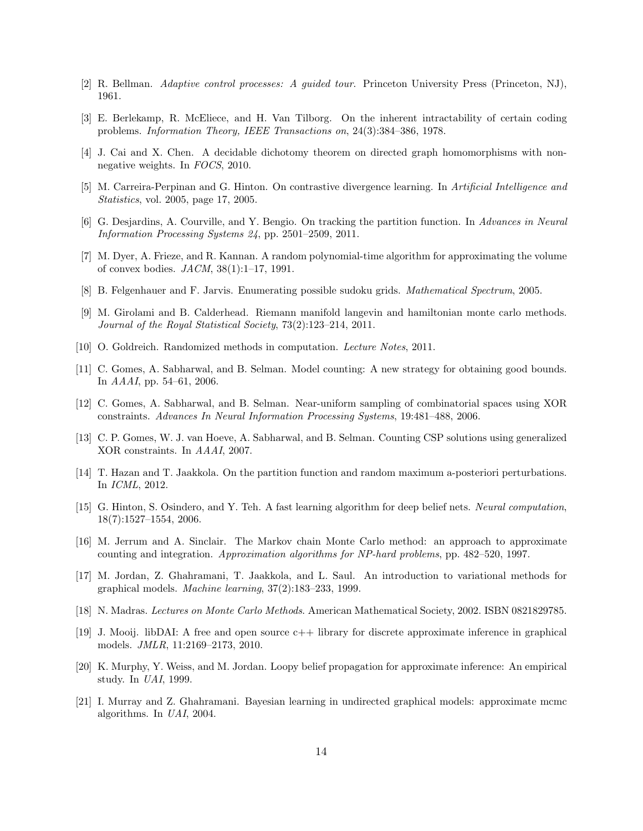- <span id="page-13-2"></span>[2] R. Bellman. Adaptive control processes: A guided tour. Princeton University Press (Princeton, NJ), 1961.
- <span id="page-13-12"></span>[3] E. Berlekamp, R. McEliece, and H. Van Tilborg. On the inherent intractability of certain coding problems. Information Theory, IEEE Transactions on, 24(3):384–386, 1978.
- <span id="page-13-0"></span>[4] J. Cai and X. Chen. A decidable dichotomy theorem on directed graph homomorphisms with nonnegative weights. In FOCS, 2010.
- <span id="page-13-19"></span>[5] M. Carreira-Perpinan and G. Hinton. On contrastive divergence learning. In Artificial Intelligence and Statistics, vol. 2005, page 17, 2005.
- <span id="page-13-17"></span>[6] G. Desjardins, A. Courville, and Y. Bengio. On tracking the partition function. In Advances in Neural Information Processing Systems 24, pp. 2501–2509, 2011.
- <span id="page-13-1"></span>[7] M. Dyer, A. Frieze, and R. Kannan. A random polynomial-time algorithm for approximating the volume of convex bodies.  $JACM$ ,  $38(1):1-17$ , 1991.
- <span id="page-13-16"></span>[8] B. Felgenhauer and F. Jarvis. Enumerating possible sudoku grids. Mathematical Spectrum, 2005.
- <span id="page-13-6"></span>[9] M. Girolami and B. Calderhead. Riemann manifold langevin and hamiltonian monte carlo methods. Journal of the Royal Statistical Society, 73(2):123–214, 2011.
- <span id="page-13-11"></span>[10] O. Goldreich. Randomized methods in computation. Lecture Notes, 2011.
- <span id="page-13-8"></span>[11] C. Gomes, A. Sabharwal, and B. Selman. Model counting: A new strategy for obtaining good bounds. In AAAI, pp. 54–61, 2006.
- <span id="page-13-9"></span>[12] C. Gomes, A. Sabharwal, and B. Selman. Near-uniform sampling of combinatorial spaces using XOR constraints. Advances In Neural Information Processing Systems, 19:481–488, 2006.
- <span id="page-13-13"></span>[13] C. P. Gomes, W. J. van Hoeve, A. Sabharwal, and B. Selman. Counting CSP solutions using generalized XOR constraints. In AAAI, 2007.
- <span id="page-13-10"></span>[14] T. Hazan and T. Jaakkola. On the partition function and random maximum a-posteriori perturbations. In ICML, 2012.
- <span id="page-13-18"></span>[15] G. Hinton, S. Osindero, and Y. Teh. A fast learning algorithm for deep belief nets. Neural computation, 18(7):1527–1554, 2006.
- <span id="page-13-4"></span>[16] M. Jerrum and A. Sinclair. The Markov chain Monte Carlo method: an approach to approximate counting and integration. Approximation algorithms for NP-hard problems, pp. 482–520, 1997.
- <span id="page-13-3"></span>[17] M. Jordan, Z. Ghahramani, T. Jaakkola, and L. Saul. An introduction to variational methods for graphical models. Machine learning, 37(2):183–233, 1999.
- <span id="page-13-5"></span>[18] N. Madras. Lectures on Monte Carlo Methods. American Mathematical Society, 2002. ISBN 0821829785.
- <span id="page-13-15"></span>[19] J. Mooij. libDAI: A free and open source  $c++$  library for discrete approximate inference in graphical models. JMLR, 11:2169–2173, 2010.
- <span id="page-13-14"></span>[20] K. Murphy, Y. Weiss, and M. Jordan. Loopy belief propagation for approximate inference: An empirical study. In UAI, 1999.
- <span id="page-13-7"></span>[21] I. Murray and Z. Ghahramani. Bayesian learning in undirected graphical models: approximate mcmc algorithms. In UAI, 2004.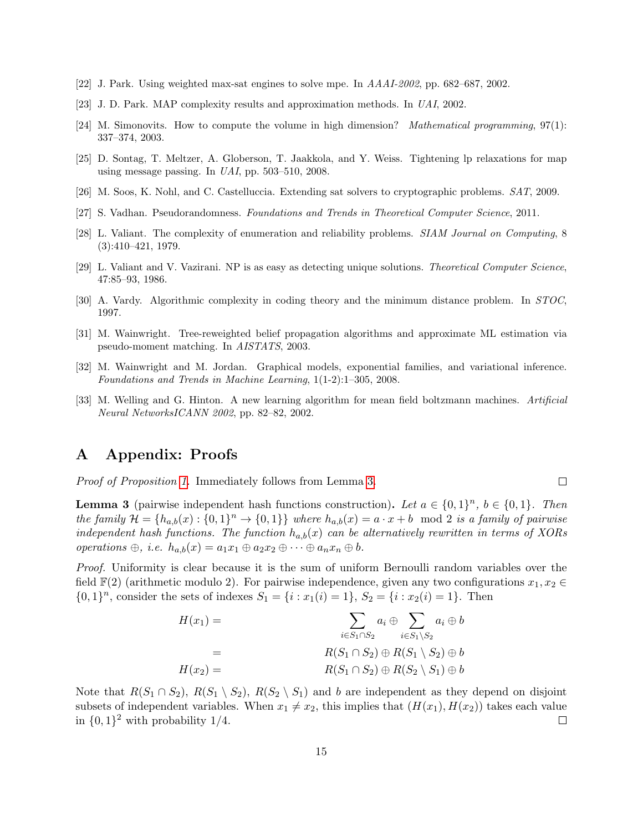- <span id="page-14-4"></span>[22] J. Park. Using weighted max-sat engines to solve mpe. In AAAI-2002, pp. 682–687, 2002.
- <span id="page-14-5"></span>[23] J. D. Park. MAP complexity results and approximation methods. In UAI, 2002.
- <span id="page-14-0"></span>[24] M. Simonovits. How to compute the volume in high dimension? Mathematical programming, 97(1): 337–374, 2003.
- <span id="page-14-3"></span>[25] D. Sontag, T. Meltzer, A. Globerson, T. Jaakkola, and Y. Weiss. Tightening lp relaxations for map using message passing. In UAI, pp. 503–510, 2008.
- <span id="page-14-10"></span>[26] M. Soos, K. Nohl, and C. Castelluccia. Extending sat solvers to cryptographic problems. SAT, 2009.
- <span id="page-14-7"></span>[27] S. Vadhan. Pseudorandomness. Foundations and Trends in Theoretical Computer Science, 2011.
- <span id="page-14-2"></span>[28] L. Valiant. The complexity of enumeration and reliability problems. SIAM Journal on Computing, 8 (3):410–421, 1979.
- <span id="page-14-6"></span>[29] L. Valiant and V. Vazirani. NP is as easy as detecting unique solutions. Theoretical Computer Science, 47:85–93, 1986.
- <span id="page-14-8"></span>[30] A. Vardy. Algorithmic complexity in coding theory and the minimum distance problem. In STOC, 1997.
- <span id="page-14-9"></span>[31] M. Wainwright. Tree-reweighted belief propagation algorithms and approximate ML estimation via pseudo-moment matching. In AISTATS, 2003.
- <span id="page-14-1"></span>[32] M. Wainwright and M. Jordan. Graphical models, exponential families, and variational inference. Foundations and Trends in Machine Learning, 1(1-2):1–305, 2008.
- <span id="page-14-11"></span>[33] M. Welling and G. Hinton. A new learning algorithm for mean field boltzmann machines. Artificial Neural NetworksICANN 2002, pp. 82–82, 2002.

### A Appendix: Proofs

Proof of Proposition [1.](#page-3-0) Immediately follows from Lemma [3.](#page-14-12)

<span id="page-14-12"></span>**Lemma 3** (pairwise independent hash functions construction). Let  $a \in \{0,1\}^n$ ,  $b \in \{0,1\}$ . Then the family  $\mathcal{H} = \{h_{a,b}(x): \{0,1\}^n \to \{0,1\}\}\$  where  $h_{a,b}(x) = a \cdot x + b \mod 2$  is a family of pairwise independent hash functions. The function  $h_{a,b}(x)$  can be alternatively rewritten in terms of XORs operations  $\oplus$ , i.e.  $h_{a,b}(x) = a_1x_1 \oplus a_2x_2 \oplus \cdots \oplus a_nx_n \oplus b$ .

 $\Box$ 

Proof. Uniformity is clear because it is the sum of uniform Bernoulli random variables over the field  $\mathbb{F}(2)$  (arithmetic modulo 2). For pairwise independence, given any two configurations  $x_1, x_2 \in$  $\{0,1\}^n$ , consider the sets of indexes  $S_1 = \{i : x_1(i) = 1\}$ ,  $S_2 = \{i : x_2(i) = 1\}$ . Then

$$
H(x_1) = \sum_{i \in S_1 \cap S_2} a_i \oplus \sum_{i \in S_1 \setminus S_2} a_i \oplus b
$$
  
= 
$$
R(S_1 \cap S_2) \oplus R(S_1 \setminus S_2) \oplus b
$$
  

$$
H(x_2) = R(S_1 \cap S_2) \oplus R(S_2 \setminus S_1) \oplus b
$$

Note that  $R(S_1 \cap S_2)$ ,  $R(S_1 \setminus S_2)$ ,  $R(S_2 \setminus S_1)$  and b are independent as they depend on disjoint subsets of independent variables. When  $x_1 \neq x_2$ , this implies that  $(H(x_1), H(x_2))$  takes each value in  $\{0,1\}^2$  with probability 1/4.  $\Box$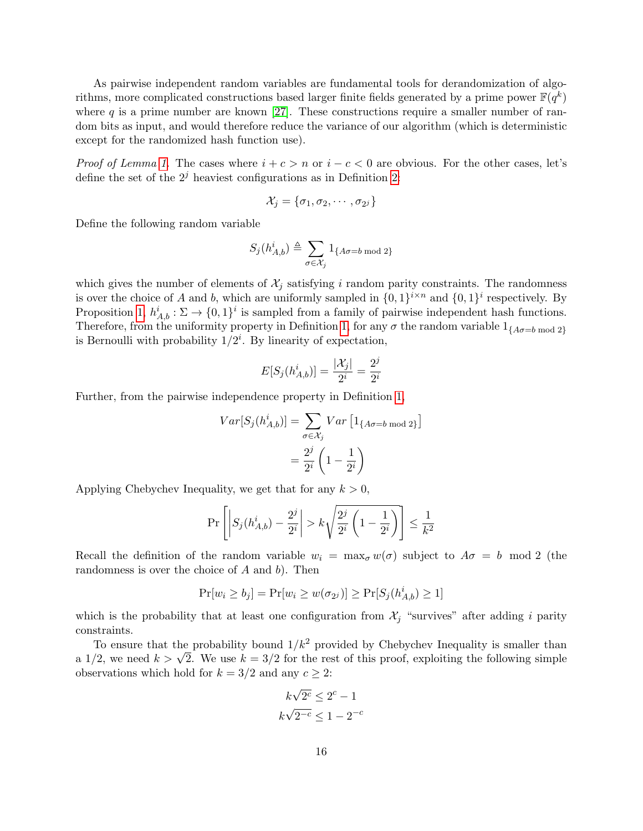As pairwise independent random variables are fundamental tools for derandomization of algorithms, more complicated constructions based larger finite fields generated by a prime power  $\mathbb{F}(q^k)$ where  $q$  is a prime number are known [\[27\]](#page-14-7). These constructions require a smaller number of random bits as input, and would therefore reduce the variance of our algorithm (which is deterministic except for the randomized hash function use).

*Proof of Lemma [1.](#page-6-2)* The cases where  $i + c > n$  or  $i - c < 0$  are obvious. For the other cases, let's define the set of the  $2<sup>j</sup>$  heaviest configurations as in Definition [2:](#page-6-0)

$$
\mathcal{X}_j = \{\sigma_1, \sigma_2, \cdots, \sigma_{2^j}\}
$$

Define the following random variable

$$
S_j(h_{A,b}^i) \triangleq \sum_{\sigma \in \mathcal{X}_j} 1_{\{A \sigma = b \bmod 2\}}
$$

which gives the number of elements of  $\mathcal{X}_i$  satisfying i random parity constraints. The randomness is over the choice of A and b, which are uniformly sampled in  $\{0,1\}^{i \times n}$  and  $\{0,1\}^i$  respectively. By Proposition [1,](#page-3-0)  $h_{A,b}^i : \Sigma \to \{0,1\}^i$  is sampled from a family of pairwise independent hash functions. Therefore, from the uniformity property in Definition [1,](#page-3-1) for any  $\sigma$  the random variable  $1_{\{A\sigma=b \bmod 2\}}$ is Bernoulli with probability  $1/2^i$ . By linearity of expectation,

$$
E[S_j(h_{A,b}^i)] = \frac{|\mathcal{X}_j|}{2^i} = \frac{2^j}{2^i}
$$

Further, from the pairwise independence property in Definition [1,](#page-3-1)

$$
Var[S_j(h_{A,b}^i)] = \sum_{\sigma \in \mathcal{X}_j} Var\left[1_{\{A\sigma=b \bmod 2\}}\right]
$$

$$
= \frac{2^j}{2^i} \left(1 - \frac{1}{2^i}\right)
$$

Applying Chebychev Inequality, we get that for any  $k > 0$ ,

$$
\Pr\left[\left|S_j(h_{A,b}^i) - \frac{2^j}{2^i}\right| > k\sqrt{\frac{2^j}{2^i}\left(1 - \frac{1}{2^i}\right)}\right] \le \frac{1}{k^2}
$$

Recall the definition of the random variable  $w_i = \max_{\sigma} w(\sigma)$  subject to  $A\sigma = b \mod 2$  (the randomness is over the choice of  $A$  and  $b$ ). Then

$$
\Pr[w_i \ge b_j] = \Pr[w_i \ge w(\sigma_{2^j})] \ge \Pr[S_j(h_{A,b}^i) \ge 1]
$$

which is the probability that at least one configuration from  $\mathcal{X}_j$  "survives" after adding i parity constraints.

To ensure that the probability bound  $1/k^2$  provided by Chebychev Inequality is smaller than To ensure that the probability bound  $1/\kappa$ <sup>-</sup> provided by Chebychev inequality is smaller than a  $1/2$ , we need  $k > \sqrt{2}$ . We use  $k = 3/2$  for the rest of this proof, exploiting the following simple observations which hold for  $k = 3/2$  and any  $c \geq 2$ :

$$
k\sqrt{2^c} \le 2^c - 1
$$
  

$$
k\sqrt{2^{-c}} \le 1 - 2^{-c}
$$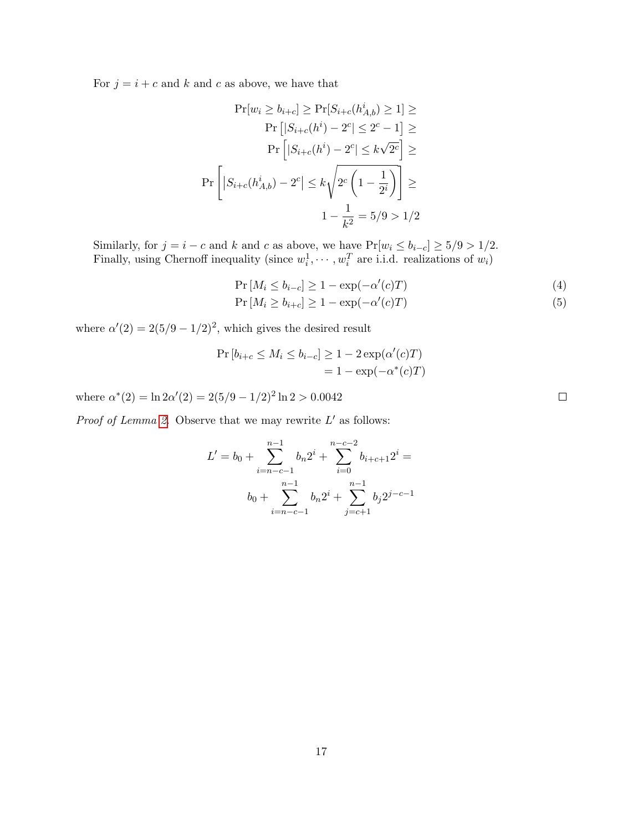For  $j = i + c$  and k and c as above, we have that

$$
\Pr[w_i \ge b_{i+c}] \ge \Pr[S_{i+c}(h_{A,b}^i) \ge 1] \ge
$$

$$
\Pr\left[|S_{i+c}(h^i) - 2^c| \le 2^c - 1\right] \ge
$$

$$
\Pr\left[|S_{i+c}(h^i) - 2^c| \le k\sqrt{2^c}\right] \ge
$$

$$
\Pr\left[|S_{i+c}(h_{A,b}^i) - 2^c| \le k\sqrt{2^c \left(1 - \frac{1}{2^i}\right)}\right] \ge
$$

$$
1 - \frac{1}{k^2} = 5/9 > 1/2
$$

Similarly, for  $j = i - c$  and k and c as above, we have  $Pr[w_i \le b_{i-c}] \ge 5/9 > 1/2$ . Finally, using Chernoff inequality (since  $w_i^1, \dots, w_i^T$  are i.i.d. realizations of  $w_i$ )

$$
\Pr\left[M_i \le b_{i-c}\right] \ge 1 - \exp(-\alpha'(c)T) \tag{4}
$$

$$
\Pr\left[M_i \ge b_{i+c}\right] \ge 1 - \exp(-\alpha'(c)T) \tag{5}
$$

where  $\alpha'(2) = 2(5/9 - 1/2)^2$ , which gives the desired result

$$
\Pr[b_{i+c} \le M_i \le b_{i-c}] \ge 1 - 2 \exp(\alpha'(c)T)
$$

$$
= 1 - \exp(-\alpha^*(c)T)
$$

where  $\alpha^*(2) = \ln 2\alpha'(2) = 2(5/9 - 1/2)^2 \ln 2 > 0.0042$ 

*Proof of Lemma [2.](#page-6-3)* Observe that we may rewrite  $L'$  as follows:

$$
L' = b_0 + \sum_{i=n-c-1}^{n-1} b_n 2^i + \sum_{i=0}^{n-c-2} b_{i+c+1} 2^i =
$$
  

$$
b_0 + \sum_{i=n-c-1}^{n-1} b_n 2^i + \sum_{j=c+1}^{n-1} b_j 2^{j-c-1}
$$

 $\Box$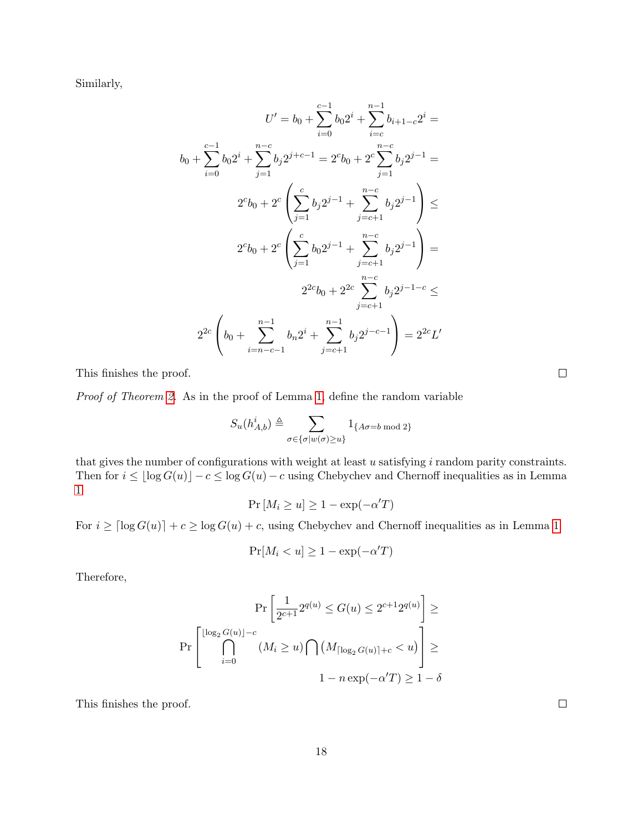Similarly,

$$
U' = b_0 + \sum_{i=0}^{c-1} b_0 2^i + \sum_{i=c}^{n-1} b_{i+1-c} 2^i =
$$
  

$$
b_0 + \sum_{i=0}^{c-1} b_0 2^i + \sum_{j=1}^{n-c} b_j 2^{j+c-1} = 2^c b_0 + 2^c \sum_{j=1}^{n-c} b_j 2^{j-1} =
$$
  

$$
2^c b_0 + 2^c \left( \sum_{j=1}^c b_j 2^{j-1} + \sum_{j=c+1}^{n-c} b_j 2^{j-1} \right) \le
$$
  

$$
2^c b_0 + 2^c \left( \sum_{j=1}^c b_0 2^{j-1} + \sum_{j=c+1}^{n-c} b_j 2^{j-1} \right) =
$$
  

$$
2^{2c} b_0 + 2^{2c} \sum_{j=c+1}^{n-c} b_j 2^{j-1-c} \le
$$
  

$$
2^{2c} \left( b_0 + \sum_{i=n-c-1}^{n-1} b_n 2^i + \sum_{j=c+1}^{n-1} b_j 2^{j-c-1} \right) = 2^{2c} L'
$$

This finishes the proof.

Proof of Theorem [2.](#page-7-0) As in the proof of Lemma [1,](#page-6-2) define the random variable

$$
S_u(h_{A,b}^i) \triangleq \sum_{\sigma \in {\{\sigma | w(\sigma) \ge u\}}} 1_{\{A\sigma = b \bmod 2\}}
$$

that gives the number of configurations with weight at least  $u$  satisfying  $i$  random parity constraints. Then for  $i \leq \lfloor \log G(u) \rfloor - c \leq \log G(u) - c$  using Chebychev and Chernoff inequalities as in Lemma [1](#page-6-2)

$$
\Pr\left[M_i \ge u\right] \ge 1 - \exp(-\alpha' T)
$$

For  $i \geq \lceil \log G(u) \rceil + c \geq \log G(u) + c$ , using Chebychev and Chernoff inequalities as in Lemma [1](#page-6-2)

$$
\Pr[M_i < u] \ge 1 - \exp(-\alpha' T)
$$

Therefore,

$$
\Pr\left[\frac{1}{2^{c+1}}2^{q(u)} \le G(u) \le 2^{c+1}2^{q(u)}\right] \ge
$$

$$
\Pr\left[\bigcap_{i=0}^{\lfloor \log_2 G(u) \rfloor - c} (M_i \ge u) \bigcap (M_{\lceil \log_2 G(u) \rceil + c} < u)\right] \ge
$$

$$
1 - n \exp(-\alpha'T) \ge 1 - \delta
$$

This finishes the proof.

 $\Box$ 

 $\Box$